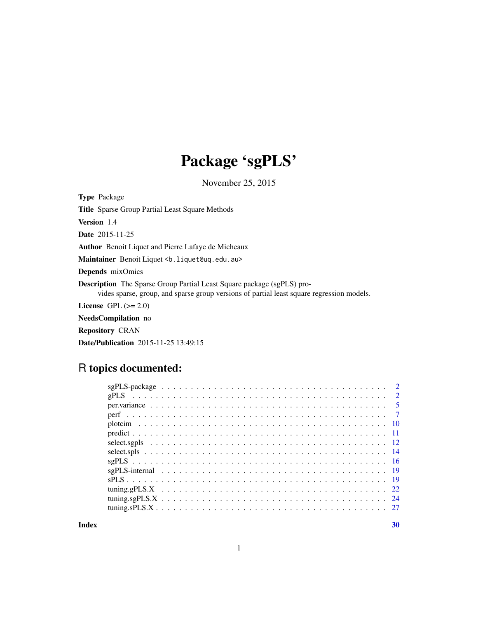## Package 'sgPLS'

November 25, 2015

<span id="page-0-0"></span>Type Package Title Sparse Group Partial Least Square Methods Version 1.4 Date 2015-11-25 Author Benoit Liquet and Pierre Lafaye de Micheaux Maintainer Benoit Liquet <b. liquet@uq.edu.au> Depends mixOmics Description The Sparse Group Partial Least Square package (sgPLS) provides sparse, group, and sparse group versions of partial least square regression models. License GPL  $(>= 2.0)$ NeedsCompilation no Repository CRAN

Date/Publication 2015-11-25 13:49:15

## R topics documented:

| $\overline{2}$ |
|----------------|
|                |
|                |
|                |
|                |
|                |
|                |
|                |
|                |
|                |
|                |
|                |
|                |
|                |

 $\bf 30$  $\bf 30$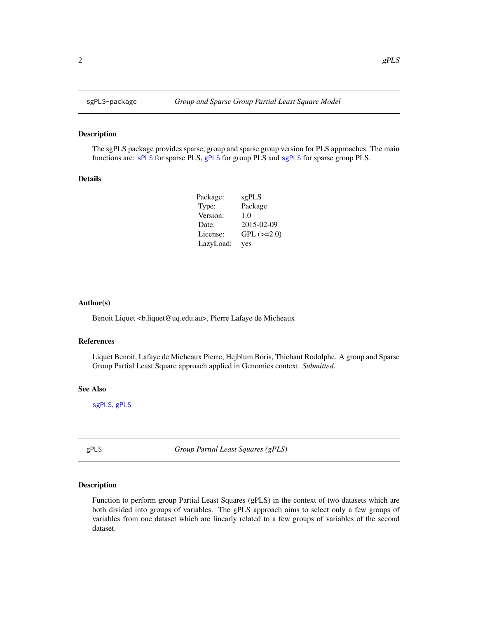#### Description

The sgPLS package provides sparse, group and sparse group version for PLS approaches. The main functions are: [sPLS](#page-18-1) for sparse PLS, [gPLS](#page-1-1) for group PLS and [sgPLS](#page-15-1) for sparse group PLS.

#### Details

| Package:  | sgPLS           |
|-----------|-----------------|
| Type:     | Package         |
| Version:  | 1.0             |
| Date:     | 2015-02-09      |
| License:  | $GPL$ $(>=2.0)$ |
| LazyLoad: | yes             |

#### Author(s)

Benoit Liquet <b.liquet@uq.edu.au>, Pierre Lafaye de Micheaux

#### References

Liquet Benoit, Lafaye de Micheaux Pierre, Hejblum Boris, Thiebaut Rodolphe. A group and Sparse Group Partial Least Square approach applied in Genomics context. *Submitted*.

#### See Also

[sgPLS](#page-15-1), [gPLS](#page-1-1)

<span id="page-1-1"></span>gPLS *Group Partial Least Squares (gPLS)*

## Description

Function to perform group Partial Least Squares (gPLS) in the context of two datasets which are both divided into groups of variables. The gPLS approach aims to select only a few groups of variables from one dataset which are linearly related to a few groups of variables of the second dataset.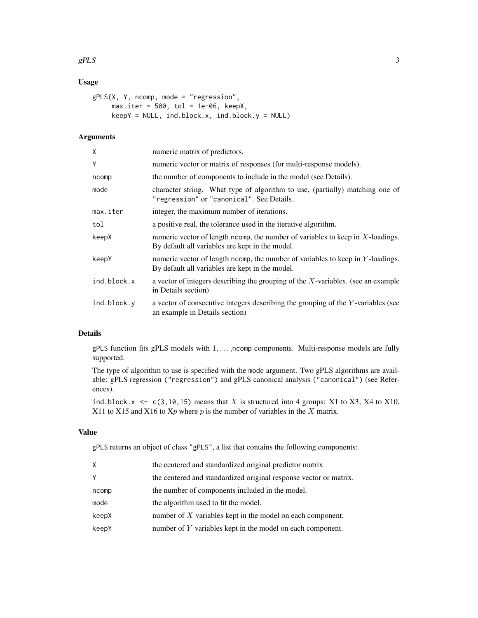#### $gPLS$  3

## Usage

```
gPLS(X, Y, ncomp, mode = "regression",
     max.iter = 500, tol = 1e-06, keepX,
     keepY = NULL, ind.block.x, ind.block.y = NULL)
```
## Arguments

| X           | numeric matrix of predictors.                                                                                                        |
|-------------|--------------------------------------------------------------------------------------------------------------------------------------|
| Y           | numeric vector or matrix of responses (for multi-response models).                                                                   |
| ncomp       | the number of components to include in the model (see Details).                                                                      |
| mode        | character string. What type of algorithm to use, (partially) matching one of<br>"regression" or "canonical". See Details.            |
| max.iter    | integer, the maximum number of iterations.                                                                                           |
| tol         | a positive real, the tolerance used in the iterative algorithm.                                                                      |
| keepX       | numeric vector of length ncomp, the number of variables to keep in $X$ -loadings.<br>By default all variables are kept in the model. |
| keepY       | numeric vector of length ncomp, the number of variables to keep in $Y$ -loadings.<br>By default all variables are kept in the model. |
| ind.block.x | a vector of integers describing the grouping of the $X$ -variables. (see an example<br>in Details section)                           |
| ind.block.y | a vector of consecutive integers describing the grouping of the Y-variables (see<br>an example in Details section)                   |

#### Details

gPLS function fits gPLS models with 1, ..., ncomp components. Multi-response models are fully supported.

The type of algorithm to use is specified with the mode argument. Two gPLS algorithms are available: gPLS regression ("regression") and gPLS canonical analysis ("canonical") (see References).

ind.block.x  $\leq$  c(3,10,15) means that X is structured into 4 groups: X1 to X3; X4 to X10, X11 to X15 and X16 to  $Xp$  where p is the number of variables in the X matrix.

#### Value

gPLS returns an object of class "gPLS", a list that contains the following components:

| Χ     | the centered and standardized original predictor matrix.          |
|-------|-------------------------------------------------------------------|
| γ     | the centered and standardized original response vector or matrix. |
| ncomp | the number of components included in the model.                   |
| mode  | the algorithm used to fit the model.                              |
| keepX | number of $X$ variables kept in the model on each component.      |
| keepY | number of $Y$ variables kept in the model on each component.      |
|       |                                                                   |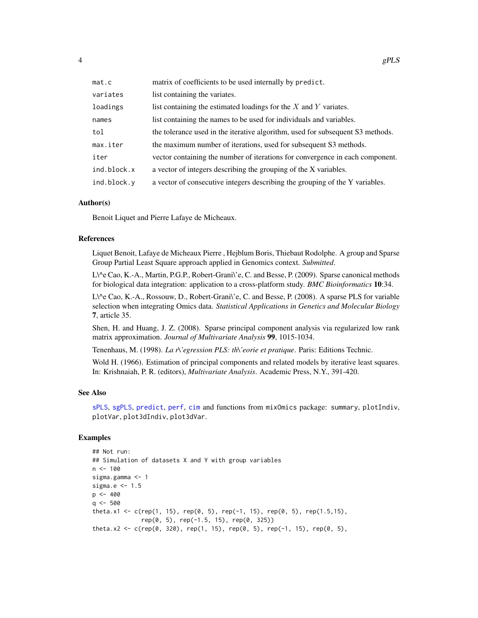<span id="page-3-0"></span>

| mat.c       | matrix of coefficients to be used internally by predict.                       |
|-------------|--------------------------------------------------------------------------------|
| variates    | list containing the variates.                                                  |
| loadings    | list containing the estimated loadings for the $X$ and $Y$ variates.           |
| names       | list containing the names to be used for individuals and variables.            |
| tol         | the tolerance used in the iterative algorithm, used for subsequent S3 methods. |
| max.iter    | the maximum number of iterations, used for subsequent S3 methods.              |
| iter        | vector containing the number of iterations for convergence in each component.  |
| ind.block.x | a vector of integers describing the grouping of the X variables.               |
| ind.block.y | a vector of consecutive integers describing the grouping of the Y variables.   |

#### Author(s)

Benoit Liquet and Pierre Lafaye de Micheaux.

## References

Liquet Benoit, Lafaye de Micheaux Pierre , Hejblum Boris, Thiebaut Rodolphe. A group and Sparse Group Partial Least Square approach applied in Genomics context. *Submitted*.

L\^e Cao, K.-A., Martin, P.G.P., Robert-Grani\'e, C. and Besse, P. (2009). Sparse canonical methods for biological data integration: application to a cross-platform study. *BMC Bioinformatics* 10:34.

L\^e Cao, K.-A., Rossouw, D., Robert-Grani\'e, C. and Besse, P. (2008). A sparse PLS for variable selection when integrating Omics data. *Statistical Applications in Genetics and Molecular Biology* 7, article 35.

Shen, H. and Huang, J. Z. (2008). Sparse principal component analysis via regularized low rank matrix approximation. *Journal of Multivariate Analysis* 99, 1015-1034.

Tenenhaus, M. (1998). *La r\'egression PLS: th\'eorie et pratique*. Paris: Editions Technic.

Wold H. (1966). Estimation of principal components and related models by iterative least squares. In: Krishnaiah, P. R. (editors), *Multivariate Analysis*. Academic Press, N.Y., 391-420.

#### See Also

[sPLS](#page-18-1), [sgPLS](#page-15-1), [predict](#page-10-1), [perf](#page-6-1), [cim](#page-0-0) and functions from mixOmics package: summary, plotIndiv, plotVar, plot3dIndiv, plot3dVar.

```
## Not run:
## Simulation of datasets X and Y with group variables
n < -100sigma.gamma <- 1
sigma.e <- 1.5
p <- 400
q \le -500theta.x1 <- c(rep(1, 15), rep(0, 5), rep(-1, 15), rep(0, 5), rep(1.5,15),
              rep(0, 5), rep(-1.5, 15), rep(0, 325))
theta.x2 <- c(rep(0, 320), rep(1, 15), rep(0, 5), rep(-1, 15), rep(0, 5),
```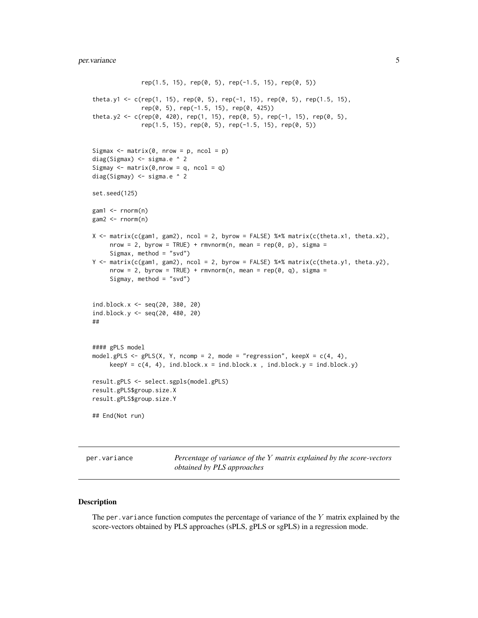```
rep(1.5, 15), rep(0, 5), rep(-1.5, 15), rep(0, 5))
theta.y1 <- c(rep(1, 15), rep(0, 5), rep(-1, 15), rep(0, 5), rep(1.5, 15),
              rep(0, 5), rep(-1.5, 15), rep(0, 425))
theta.y2 <- c(rep(0, 420), rep(1, 15), rep(0, 5), rep(-1, 15), rep(0, 5),
              rep(1.5, 15), rep(0, 5), rep(-1.5, 15), rep(0, 5))
Sigmax \leq matrix(0, nrow = p, ncol = p)
diag(Sigmax) <- sigma.e ^ 2
Sigmay \leq matrix(0, nrow = q, ncol = q)
diag(Sigmay) <- sigma.e ^ 2
set.seed(125)
gam1 <- rnorm(n)
gam2 <- rnorm(n)
X \leq - matrix(c(gam1, gam2), ncol = 2, byrow = FALSE) %*% matrix(c(theta.x1, theta.x2),
     nrow = 2, byrow = TRUE) + rmvnorm(n, mean = rep(0, p), sigma =
     Sigmax, method = "svd")
Y \leq - matrix(c(gam1, gam2), ncol = 2, byrow = FALSE) %*% matrix(c(theta.y1, theta.y2),
     nrow = 2, byrow = TRUE) + rmvnorm(n, mean = rep(0, q), sigma =
     Sigmay, method = "svd")
ind.block.x <- seq(20, 380, 20)
ind.block.y <- seq(20, 480, 20)
##
#### gPLS model
model.gPLS <- gPLS(X, Y, ncomp = 2, mode = "regression", keepX = c(4, 4),keepY = c(4, 4), ind.block.x = ind.block.x , ind.block.y = ind.block.y)
result.gPLS <- select.sgpls(model.gPLS)
result.gPLS$group.size.X
result.gPLS$group.size.Y
## End(Not run)
```
per.variance *Percentage of variance of the* Y *matrix explained by the score-vectors obtained by PLS approaches*

#### Description

The per. variance function computes the percentage of variance of the  $Y$  matrix explained by the score-vectors obtained by PLS approaches (sPLS, gPLS or sgPLS) in a regression mode.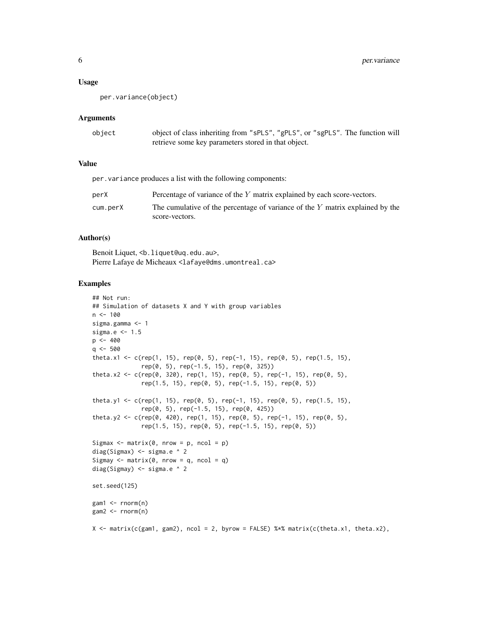#### Usage

per.variance(object)

#### Arguments

| object | object of class inheriting from "sPLS", "gPLS", or "sgPLS". The function will |
|--------|-------------------------------------------------------------------------------|
|        | retrieve some key parameters stored in that object.                           |

## Value

per.variance produces a list with the following components:

| perX     | Percentage of variance of the Y matrix explained by each score-vectors.       |
|----------|-------------------------------------------------------------------------------|
| cum.perX | The cumulative of the percentage of variance of the Y matrix explained by the |
|          | score-vectors.                                                                |

## Author(s)

Benoit Liquet, <b.liquet@uq.edu.au>, Pierre Lafaye de Micheaux <lafaye@dms.umontreal.ca>

```
## Not run:
## Simulation of datasets X and Y with group variables
n < -100sigma.gamma <- 1
sigma.e <-1.5p \le -400q \le -500theta.x1 <- c(rep(1, 15), rep(0, 5), rep(-1, 15), rep(0, 5), rep(1.5, 15),
              rep(0, 5), rep(-1.5, 15), rep(0, 325))
theta.x2 <- c(rep(0, 320), rep(1, 15), rep(0, 5), rep(-1, 15), rep(0, 5),
              rep(1.5, 15), rep(0, 5), rep(-1.5, 15), rep(0, 5))
theta.y1 <- c(rep(1, 15), rep(0, 5), rep(-1, 15), rep(0, 5), rep(1.5, 15),
              rep(0, 5), rep(-1.5, 15), rep(0, 425))
theta.y2 <- c(rep(0, 420), rep(1, 15), rep(0, 5), rep(-1, 15), rep(0, 5),
              rep(1.5, 15), rep(0, 5), rep(-1.5, 15), rep(0, 5))
Sigmax \leq matrix(0, nrow = p, ncol = p)
diag(Sigmax) <- sigma.e ^ 2
Sigmay \leq matrix(0, nrow = q, ncol = q)
diag(Sigmay) <- sigma.e ^ 2
set.seed(125)
gam1 < - rnorm(n)gam2 < - rnorm(n)X \leq - matrix(c(gam1, gam2), ncol = 2, byrow = FALSE) %*% matrix(c(theta.x1, theta.x2),
```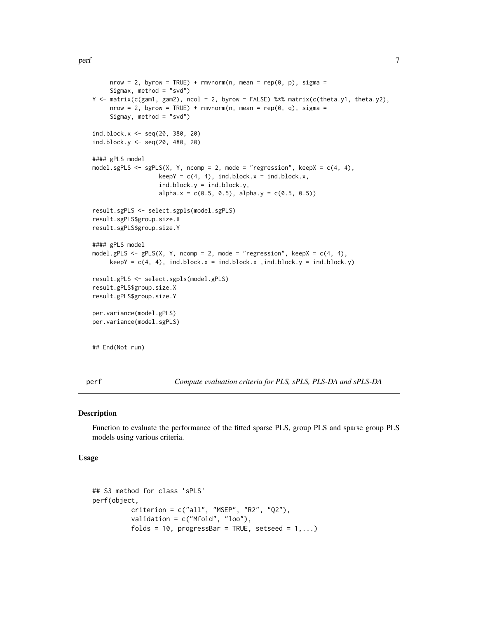```
nrow = 2, byrow = TRUE) + rmvnorm(n, mean = rep(0, p), sigma =
     Sigmax, method = "svd")
Y <- matrix(c(gam1, gam2), ncol = 2, byrow = FALSE) %*% matrix(c(theta.y1, theta.y2),
     nrow = 2, byrow = TRUE) + rmvnorm(n, mean = rep(0, q), sigma =
     Sigmay, method = "svd")
ind.block.x <- seq(20, 380, 20)
ind.block.y <- seq(20, 480, 20)
#### gPLS model
model.sgPLS <- sgPLS(X, Y, ncomp = 2, mode = "regression", keepX = c(4, 4),
                   keepY = c(4, 4), ind block.x = ind block.x,ind.block.y = ind.block.y,
                   alpha.x = c(0.5, 0.5), alpha.y = c(0.5, 0.5))
result.sgPLS <- select.sgpls(model.sgPLS)
result.sgPLS$group.size.X
result.sgPLS$group.size.Y
#### gPLS model
model.gPLS <- gPLS(X, Y, ncomp = 2, mode = "regression", keepX = c(4, 4),keepY = c(4, 4), ind-block.x = ind-block.x , ind-block.y = ind-block.y)result.gPLS <- select.sgpls(model.gPLS)
result.gPLS$group.size.X
result.gPLS$group.size.Y
per.variance(model.gPLS)
per.variance(model.sgPLS)
## End(Not run)
```
<span id="page-6-1"></span>perf *Compute evaluation criteria for PLS, sPLS, PLS-DA and sPLS-DA*

#### **Description**

Function to evaluate the performance of the fitted sparse PLS, group PLS and sparse group PLS models using various criteria.

## Usage

```
## S3 method for class 'sPLS'
perf(object,
          criterion = c("all", "MSEP", "R2", "Q2"),
          validation = c("Mfold", "loo"),
          folds = 10, progressBar = TRUE, setseed = 1,...)
```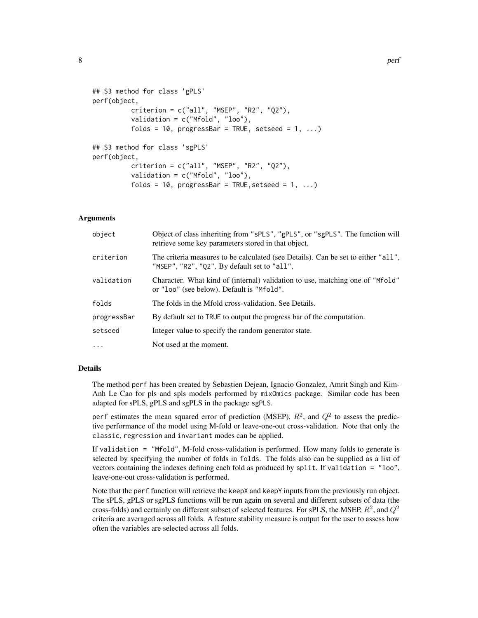```
## S3 method for class 'gPLS'
perf(object,
          criterion = c("all", "MSEP", "R2", "Q2"),validation = c("Mfold", "loo"),
          folds = 10, progressBar = TRUE, setseed = 1, \dots)
## S3 method for class 'sgPLS'
perf(object,
          criterion = c("all", "MSEP", "R2", "Q2"),
          validation = c("Mfold", "loo"),
          folds = 10, progressBar = TRUE, setseed = 1, \dots)
```
#### Arguments

| object      | Object of class inheriting from "sPLS", "gPLS", or "sgPLS". The function will<br>retrieve some key parameters stored in that object. |
|-------------|--------------------------------------------------------------------------------------------------------------------------------------|
| criterion   | The criteria measures to be calculated (see Details). Can be set to either "all",<br>"MSEP", "R2", "Q2". By default set to "all".    |
| validation  | Character. What kind of (internal) validation to use, matching one of "Mfold"<br>or "loo" (see below). Default is "Mfold".           |
| folds       | The folds in the Mfold cross-validation. See Details.                                                                                |
| progressBar | By default set to TRUE to output the progress bar of the computation.                                                                |
| setseed     | Integer value to specify the random generator state.                                                                                 |
| $\cdots$    | Not used at the moment.                                                                                                              |

## Details

The method perf has been created by Sebastien Dejean, Ignacio Gonzalez, Amrit Singh and Kim-Anh Le Cao for pls and spls models performed by mixOmics package. Similar code has been adapted for sPLS, gPLS and sgPLS in the package sgPLS.

perf estimates the mean squared error of prediction (MSEP),  $R^2$ , and  $Q^2$  to assess the predictive performance of the model using M-fold or leave-one-out cross-validation. Note that only the classic, regression and invariant modes can be applied.

If validation = "Mfold", M-fold cross-validation is performed. How many folds to generate is selected by specifying the number of folds in folds. The folds also can be supplied as a list of vectors containing the indexes defining each fold as produced by split. If validation = "loo", leave-one-out cross-validation is performed.

Note that the perf function will retrieve the keepX and keepY inputs from the previously run object. The sPLS, gPLS or sgPLS functions will be run again on several and different subsets of data (the cross-folds) and certainly on different subset of selected features. For sPLS, the MSEP,  $R^2$ , and  $Q^2$ criteria are averaged across all folds. A feature stability measure is output for the user to assess how often the variables are selected across all folds.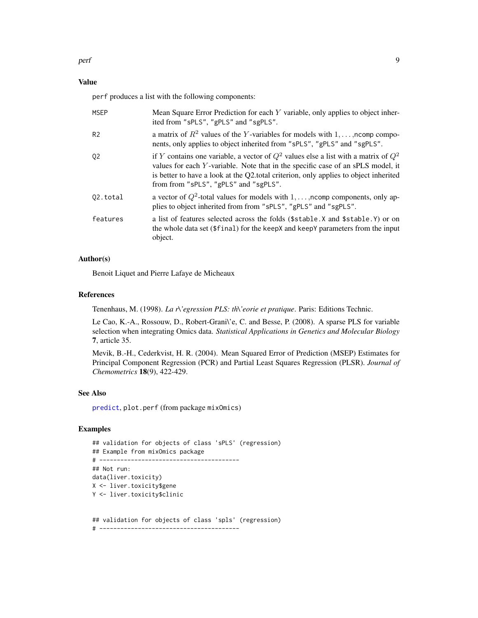## <span id="page-8-0"></span>Value

perf produces a list with the following components:

| <b>MSEP</b>    | Mean Square Error Prediction for each Y variable, only applies to object inher-<br>ited from "sPLS", "gPLS" and "sgPLS".                                                                                                                                                                                    |
|----------------|-------------------------------------------------------------------------------------------------------------------------------------------------------------------------------------------------------------------------------------------------------------------------------------------------------------|
| R <sub>2</sub> | a matrix of $R^2$ values of the Y-variables for models with $1, \ldots$ , noomp compo-<br>nents, only applies to object inherited from "sPLS", "gPLS" and "sgPLS".                                                                                                                                          |
| 02             | if Y contains one variable, a vector of $Q^2$ values else a list with a matrix of $Q^2$<br>values for each Y-variable. Note that in the specific case of an sPLS model, it<br>is better to have a look at the Q2.total criterion, only applies to object inherited<br>from from "sPLS", "gPLS" and "sgPLS". |
| 02.total       | a vector of $Q^2$ -total values for models with $1, \ldots$ , ncomp components, only ap-<br>plies to object inherited from from "sPLS", "gPLS" and "sgPLS".                                                                                                                                                 |
| features       | a list of features selected across the folds (\$stable.X and \$stable.Y) or on<br>the whole data set (\$final) for the keepX and keepY parameters from the input<br>object.                                                                                                                                 |

## Author(s)

Benoit Liquet and Pierre Lafaye de Micheaux

#### References

Tenenhaus, M. (1998). *La r\'egression PLS: th\'eorie et pratique*. Paris: Editions Technic.

Le Cao, K.-A., Rossouw, D., Robert-Grani\'e, C. and Besse, P. (2008). A sparse PLS for variable selection when integrating Omics data. *Statistical Applications in Genetics and Molecular Biology* 7, article 35.

Mevik, B.-H., Cederkvist, H. R. (2004). Mean Squared Error of Prediction (MSEP) Estimates for Principal Component Regression (PCR) and Partial Least Squares Regression (PLSR). *Journal of Chemometrics* 18(9), 422-429.

#### See Also

[predict](#page-10-1), plot.perf (from package mixOmics)

## Examples

## validation for objects of class 'sPLS' (regression) ## Example from mixOmics package # ---------------------------------------- ## Not run: data(liver.toxicity) X <- liver.toxicity\$gene Y <- liver.toxicity\$clinic

## validation for objects of class 'spls' (regression) # ----------------------------------------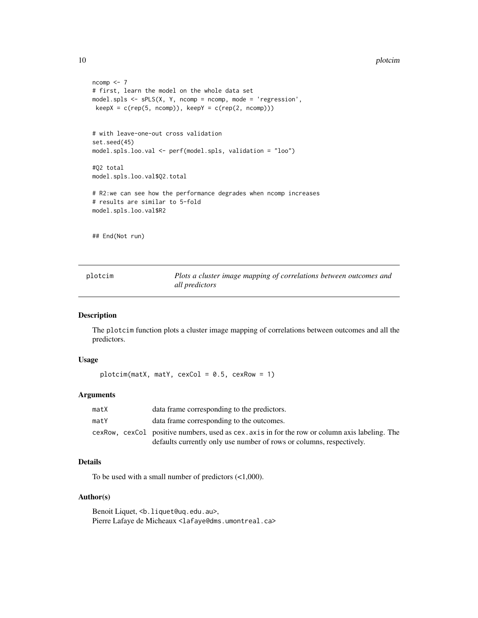```
ncomp < -7# first, learn the model on the whole data set
model.spls <- sPLS(X, Y, ncomp = ncomp, mode = 'regression',
keepX = c(rep(5, ncomp)), keepY = c(rep(2, ncomp)))# with leave-one-out cross validation
set.seed(45)
model.spls.loo.val <- perf(model.spls, validation = "loo")
#Q2 total
model.spls.loo.val$Q2.total
# R2:we can see how the performance degrades when ncomp increases
# results are similar to 5-fold
model.spls.loo.val$R2
## End(Not run)
```
plotcim *Plots a cluster image mapping of correlations between outcomes and all predictors*

#### Description

The plotcim function plots a cluster image mapping of correlations between outcomes and all the predictors.

#### Usage

```
plotcim(matX, matY, cexCol = 0.5, cexRow = 1)
```
#### Arguments

| matX | data frame corresponding to the predictors.                                                    |
|------|------------------------------------------------------------------------------------------------|
| matY | data frame corresponding to the outcomes.                                                      |
|      | cexRow, cexCol positive numbers, used as cex. axis in for the row or column axis labeling. The |
|      | defaults currently only use number of rows or columns, respectively.                           |

## Details

To be used with a small number of predictors (<1,000).

## Author(s)

Benoit Liquet, <b.liquet@uq.edu.au>, Pierre Lafaye de Micheaux <lafaye@dms.umontreal.ca>

<span id="page-9-0"></span>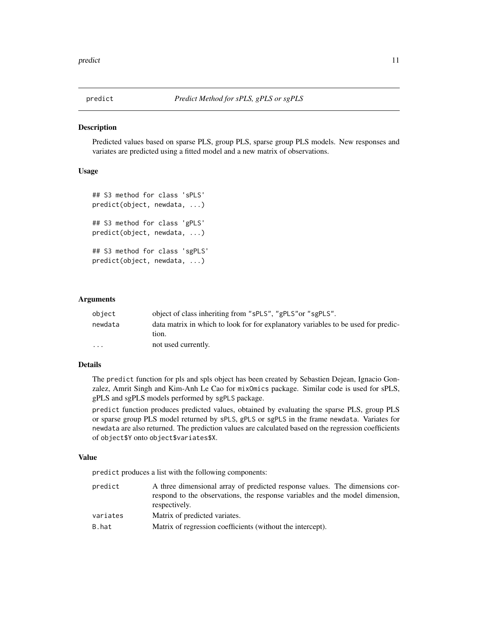<span id="page-10-1"></span><span id="page-10-0"></span>

#### **Description**

Predicted values based on sparse PLS, group PLS, sparse group PLS models. New responses and variates are predicted using a fitted model and a new matrix of observations.

#### Usage

```
## S3 method for class 'sPLS'
predict(object, newdata, ...)
## S3 method for class 'gPLS'
predict(object, newdata, ...)
## S3 method for class 'sgPLS'
predict(object, newdata, ...)
```
#### Arguments

| object   | object of class inheriting from "sPLS", "gPLS" or "sgPLS".                                 |
|----------|--------------------------------------------------------------------------------------------|
| newdata  | data matrix in which to look for for explanatory variables to be used for predic-<br>tion. |
| $\cdots$ | not used currently.                                                                        |

## Details

The predict function for pls and spls object has been created by Sebastien Dejean, Ignacio Gonzalez, Amrit Singh and Kim-Anh Le Cao for mixOmics package. Similar code is used for sPLS, gPLS and sgPLS models performed by sgPLS package.

predict function produces predicted values, obtained by evaluating the sparse PLS, group PLS or sparse group PLS model returned by sPLS, gPLS or sgPLS in the frame newdata. Variates for newdata are also returned. The prediction values are calculated based on the regression coefficients of object\$Y onto object\$variates\$X.

#### Value

predict produces a list with the following components:

predict A three dimensional array of predicted response values. The dimensions correspond to the observations, the response variables and the model dimension, respectively. variates Matrix of predicted variates. B.hat Matrix of regression coefficients (without the intercept).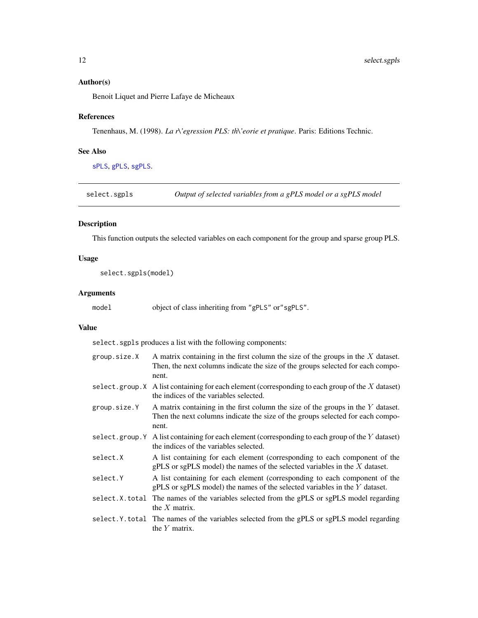## <span id="page-11-0"></span>Author(s)

Benoit Liquet and Pierre Lafaye de Micheaux

## References

Tenenhaus, M. (1998). *La r\'egression PLS: th\'eorie et pratique*. Paris: Editions Technic.

## See Also

[sPLS](#page-18-1), [gPLS](#page-1-1), [sgPLS](#page-15-1).

select.sgpls *Output of selected variables from a gPLS model or a sgPLS model*

## Description

This function outputs the selected variables on each component for the group and sparse group PLS.

## Usage

select.sgpls(model)

#### Arguments

del object of class inheriting from "gPLS" or"sgPLS".

#### Value

select.sgpls produces a list with the following components:

| group.size.X   | A matrix containing in the first column the size of the groups in the $X$ dataset.<br>Then, the next columns indicate the size of the groups selected for each compo-<br>nent. |
|----------------|--------------------------------------------------------------------------------------------------------------------------------------------------------------------------------|
|                | select.group.X A list containing for each element (corresponding to each group of the X dataset)<br>the indices of the variables selected.                                     |
| group.size.Y   | A matrix containing in the first column the size of the groups in the $Y$ dataset.<br>Then the next columns indicate the size of the groups selected for each compo-<br>nent.  |
| select.group.Y | A list containing for each element (corresponding to each group of the $Y$ dataset)<br>the indices of the variables selected.                                                  |
| select.X       | A list containing for each element (corresponding to each component of the<br>$gPLS$ or sgPLS model) the names of the selected variables in the $X$ dataset.                   |
| select.Y       | A list containing for each element (corresponding to each component of the<br>$gPLS$ or sgPLS model) the names of the selected variables in the Y dataset.                     |
|                | select.X.total The names of the variables selected from the gPLS or sgPLS model regarding<br>the $X$ matrix.                                                                   |
|                | select. Y. total The names of the variables selected from the gPLS or sgPLS model regarding<br>the $Y$ matrix.                                                                 |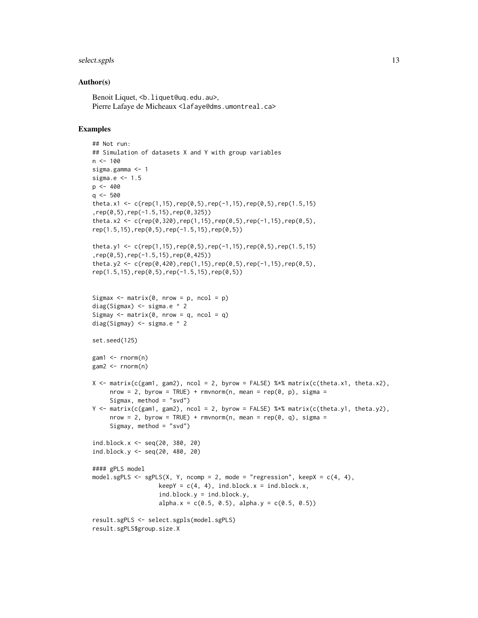## select.sgpls 13

#### Author(s)

Benoit Liquet, <b.liquet@uq.edu.au>, Pierre Lafaye de Micheaux <lafaye@dms.umontreal.ca>

```
## Not run:
## Simulation of datasets X and Y with group variables
n < -100sigma.gamma <- 1
sigma.e <-1.5p \le -400q \le -500theta.x1 <- c(rep(1,15),rep(0,5),rep(-1,15),rep(0,5),rep(1.5,15)
,rep(0,5),rep(-1.5,15),rep(0,325))
theta.x2 <- c(rep(0,320),rep(1,15),rep(0,5),rep(-1,15),rep(0,5),
rep(1.5,15),rep(0,5),rep(-1.5,15),rep(0,5))
theta.y1 <- c(rep(1,15),rep(0,5),rep(-1,15),rep(0,5),rep(1.5,15)
,rep(0,5),rep(-1.5,15),rep(0,425))
theta.y2 <- c(rep(0,420),rep(1,15),rep(0,5),rep(-1,15),rep(0,5),
rep(1.5,15),rep(0,5),rep(-1.5,15),rep(0,5))
Sigmax \leq matrix(0, nrow = p, ncol = p)
diag(Sigmax) \le sigma.e \land 2
Sigmay \leq matrix(0, nrow = q, ncol = q)
diag(Sigmay) <- sigma.e ^ 2
set.seed(125)
gam1 < -rnorm(n)gam2 < - rnorm(n)X \le matrix(c(gam1, gam2), ncol = 2, byrow = FALSE) %*% matrix(c(theta.x1, theta.x2),
     nrow = 2, byrow = TRUE) + rmvnorm(n, mean = rep(0, p), sigma =
     Sigmax, method = "svd")
Y <- matrix(c(gam1, gam2), ncol = 2, byrow = FALSE) %*% matrix(c(theta.y1, theta.y2),
     nrow = 2, byrow = TRUE) + rmvnorm(n, mean = rep(0, q), sigma =
     Sigmay, method = "svd")
ind.block.x <- seq(20, 380, 20)
ind.block.y <- seq(20, 480, 20)
#### gPLS model
model.sgPLS <- sgPLS(X, Y, ncomp = 2, mode = "regression", keepX = c(4, 4),
                   keepY = c(4, 4), ind block.x = ind block.x,ind.block.y = ind.block.y,
                   alpha.x = c(0.5, 0.5), alpha.y = c(0.5, 0.5))
result.sgPLS <- select.sgpls(model.sgPLS)
result.sgPLS$group.size.X
```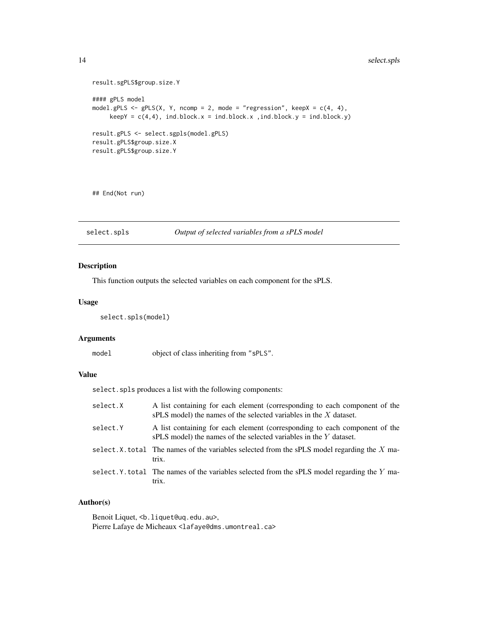```
result.sgPLS$group.size.Y
#### gPLS model
model.gPLS \leq gPLS(X, Y, ncomp = 2, mode = "regression", keepX = c(4, 4),
    keepY = c(4,4), ind.block.x = ind.block.x , ind.block.y = ind.block.y)result.gPLS <- select.sgpls(model.gPLS)
result.gPLS$group.size.X
result.gPLS$group.size.Y
```
## End(Not run)

select.spls *Output of selected variables from a sPLS model*

## Description

This function outputs the selected variables on each component for the sPLS.

#### Usage

```
select.spls(model)
```
#### Arguments

model object of class inheriting from "sPLS".

#### Value

select.spls produces a list with the following components:

| select.X | A list containing for each element (corresponding to each component of the<br>$sPLS$ model) the names of the selected variables in the X dataset. |
|----------|---------------------------------------------------------------------------------------------------------------------------------------------------|
| select.Y | A list containing for each element (corresponding to each component of the<br>sPLS model) the names of the selected variables in the Y dataset.   |
|          | select. X, total The names of the variables selected from the sPLS model regarding the $X$ ma-<br>trix.                                           |
|          | select. Y. total The names of the variables selected from the sPLS model regarding the Y ma-<br>trix.                                             |

## Author(s)

Benoit Liquet, <b.liquet@uq.edu.au>, Pierre Lafaye de Micheaux <lafaye@dms.umontreal.ca>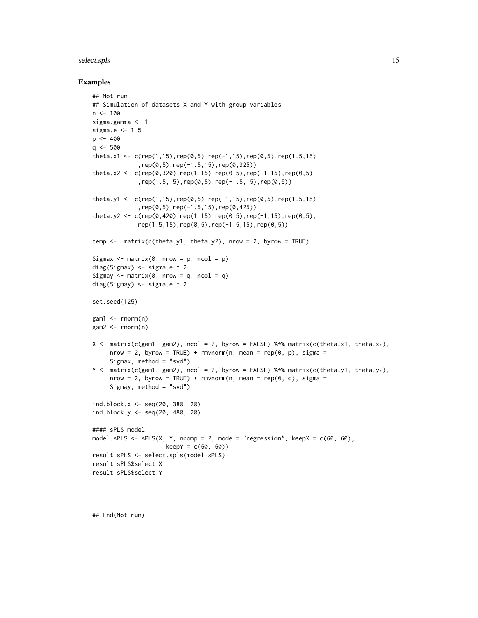#### select.spls 15

#### Examples

```
## Not run:
## Simulation of datasets X and Y with group variables
n < -100sigma.gamma <- 1
sigma.e <- 1.5
p <- 400
q \leq -500theta.x1 <- c(rep(1,15),rep(0,5),rep(-1,15),rep(0,5),rep(1.5,15)
             ,rep(0,5),rep(-1.5,15),rep(0,325))
theta.x2 <- c(rep(0,320),rep(1,15),rep(0,5),rep(-1,15),rep(0,5)
             ,rep(1.5,15),rep(0,5),rep(-1.5,15),rep(0,5))
theta.y1 <- c(rep(1,15),rep(0,5),rep(-1,15),rep(0,5),rep(1.5,15)
             ,rep(0,5),rep(-1.5,15),rep(0,425))
theta.y2 <- c(rep(\theta, 42\theta), rep(1,15), rep(\theta,5), rep(-1,15), rep(\theta,5),rep(1.5,15),rep(0,5),rep(-1.5,15),rep(0,5))
temp \leq matrix(c(theta.y1, theta.y2), nrow = 2, byrow = TRUE)
Sigmax \leq matrix(0, nrow = p, ncol = p)
diag(Sigmax) <- sigma.e ^ 2
Sigmay \leq matrix(0, nrow = q, ncol = q)
diag(Sigmay) <- sigma.e ^ 2
set.seed(125)
gam1 < -rnorm(n)gam2 < -rnorm(n)X \leq - matrix(c(gam1, gam2), ncol = 2, byrow = FALSE) %*% matrix(c(theta.x1, theta.x2),
     nrow = 2, byrow = TRUE) + rmvnorm(n, mean = rep(0, p), sigma =
     Sigmax, method = "svd")
Y <- matrix(c(gam1, gam2), ncol = 2, byrow = FALSE) %*% matrix(c(theta.y1, theta.y2),
     nrow = 2, byrow = TRUE) + rmvnorm(n, mean = rep(0, q), sigma =
     Sigmay, method = "svd")
ind.block.x <- seq(20, 380, 20)
ind.block.y <- seq(20, 480, 20)
#### sPLS model
model.sPLS \leq sPLS(X, Y, ncomp = 2, mode = "regression", keepX = c(60, 60),
                     keepY = c(60, 60))result.sPLS <- select.spls(model.sPLS)
result.sPLS$select.X
result.sPLS$select.Y
```
## End(Not run)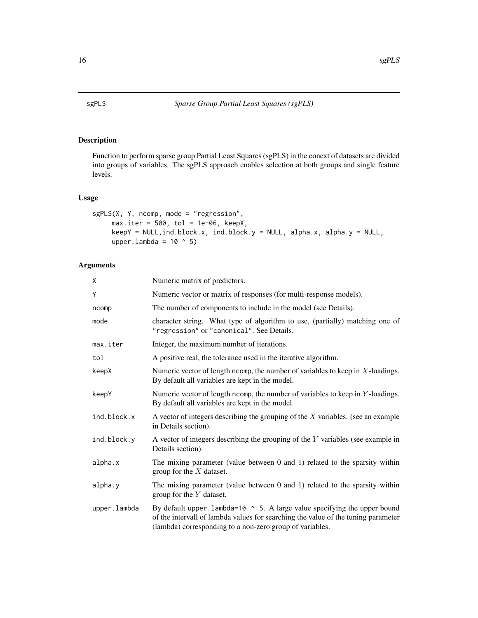## <span id="page-15-1"></span><span id="page-15-0"></span>Description

Function to perform sparse group Partial Least Squares (sgPLS) in the conext of datasets are divided into groups of variables. The sgPLS approach enables selection at both groups and single feature levels.

#### Usage

```
sgPLS(X, Y, ncomp, mode = "regression",
     max.iter = 500, tol = 1e-06, keepX,
     keepY = NULL, ind.block.x, ind.block.y = NULL, alpha.x, alpha.y = NULL,upper.lambda = 10 \text{ } ^\circ 5)
```
## Arguments

| X            | Numeric matrix of predictors.                                                                                                                                                                                               |
|--------------|-----------------------------------------------------------------------------------------------------------------------------------------------------------------------------------------------------------------------------|
| Υ            | Numeric vector or matrix of responses (for multi-response models).                                                                                                                                                          |
| ncomp        | The number of components to include in the model (see Details).                                                                                                                                                             |
| mode         | character string. What type of algorithm to use, (partially) matching one of<br>"regression" or "canonical". See Details.                                                                                                   |
| max.iter     | Integer, the maximum number of iterations.                                                                                                                                                                                  |
| tol          | A positive real, the tolerance used in the iterative algorithm.                                                                                                                                                             |
| keepX        | Numeric vector of length ncomp, the number of variables to keep in $X$ -loadings.<br>By default all variables are kept in the model.                                                                                        |
| keepY        | Numeric vector of length ncomp, the number of variables to keep in $Y$ -loadings.<br>By default all variables are kept in the model.                                                                                        |
| ind.block.x  | A vector of integers describing the grouping of the $X$ variables. (see an example<br>in Details section).                                                                                                                  |
| ind.block.y  | A vector of integers describing the grouping of the $Y$ variables (see example in<br>Details section).                                                                                                                      |
| alpha.x      | The mixing parameter (value between $0$ and $1$ ) related to the sparsity within<br>group for the $X$ dataset.                                                                                                              |
| alpha.y      | The mixing parameter (value between $0$ and $1$ ) related to the sparsity within<br>group for the $Y$ dataset.                                                                                                              |
| upper.lambda | By default upper . lambda=10 ^ 5. A large value specifying the upper bound<br>of the intervall of lambda values for searching the value of the tuning parameter<br>(lambda) corresponding to a non-zero group of variables. |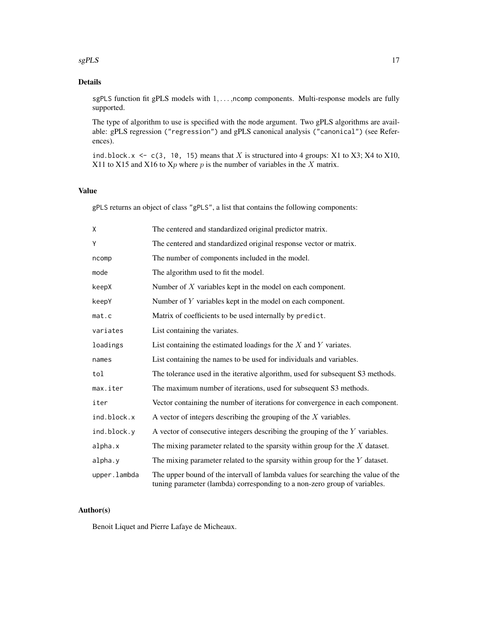#### $s$ gPLS  $\qquad$  17

## Details

sgPLS function fit gPLS models with  $1, \ldots$ , ncomp components. Multi-response models are fully supported.

The type of algorithm to use is specified with the mode argument. Two gPLS algorithms are available: gPLS regression ("regression") and gPLS canonical analysis ("canonical") (see References).

ind.block.x  $\leq$  c(3, 10, 15) means that X is structured into 4 groups: X1 to X3; X4 to X10, X11 to X15 and X16 to  $Xp$  where p is the number of variables in the X matrix.

## Value

gPLS returns an object of class "gPLS", a list that contains the following components:

| X            | The centered and standardized original predictor matrix.                                                                                                      |
|--------------|---------------------------------------------------------------------------------------------------------------------------------------------------------------|
| Y            | The centered and standardized original response vector or matrix.                                                                                             |
| ncomp        | The number of components included in the model.                                                                                                               |
| mode         | The algorithm used to fit the model.                                                                                                                          |
| keepX        | Number of $X$ variables kept in the model on each component.                                                                                                  |
| keepY        | Number of $Y$ variables kept in the model on each component.                                                                                                  |
| mat.c        | Matrix of coefficients to be used internally by predict.                                                                                                      |
| variates     | List containing the variates.                                                                                                                                 |
| loadings     | List containing the estimated loadings for the $X$ and $Y$ variates.                                                                                          |
| names        | List containing the names to be used for individuals and variables.                                                                                           |
| tol          | The tolerance used in the iterative algorithm, used for subsequent S3 methods.                                                                                |
| max.iter     | The maximum number of iterations, used for subsequent S3 methods.                                                                                             |
| iter         | Vector containing the number of iterations for convergence in each component.                                                                                 |
| ind.block.x  | A vector of integers describing the grouping of the $X$ variables.                                                                                            |
| ind.block.y  | A vector of consecutive integers describing the grouping of the $Y$ variables.                                                                                |
| alpha.x      | The mixing parameter related to the sparsity within group for the $X$ dataset.                                                                                |
| alpha.y      | The mixing parameter related to the sparsity within group for the $Y$ dataset.                                                                                |
| upper.lambda | The upper bound of the intervall of lambda values for searching the value of the<br>tuning parameter (lambda) corresponding to a non-zero group of variables. |

## Author(s)

Benoit Liquet and Pierre Lafaye de Micheaux.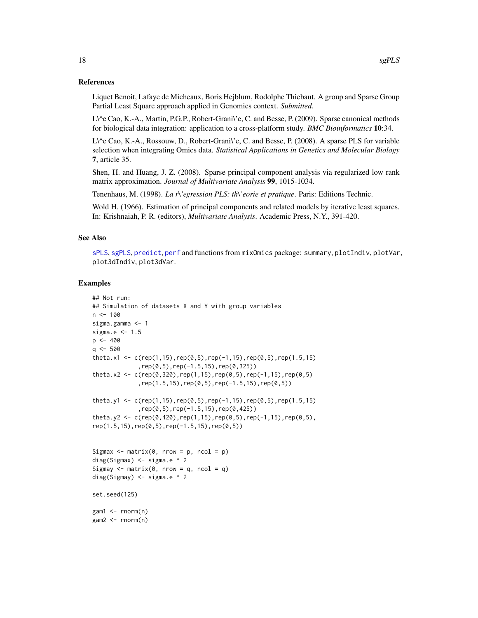#### References

Liquet Benoit, Lafaye de Micheaux, Boris Hejblum, Rodolphe Thiebaut. A group and Sparse Group Partial Least Square approach applied in Genomics context. *Submitted*.

L\^e Cao, K.-A., Martin, P.G.P., Robert-Grani\'e, C. and Besse, P. (2009). Sparse canonical methods for biological data integration: application to a cross-platform study. *BMC Bioinformatics* 10:34.

L\^e Cao, K.-A., Rossouw, D., Robert-Grani\'e, C. and Besse, P. (2008). A sparse PLS for variable selection when integrating Omics data. *Statistical Applications in Genetics and Molecular Biology* 7, article 35.

Shen, H. and Huang, J. Z. (2008). Sparse principal component analysis via regularized low rank matrix approximation. *Journal of Multivariate Analysis* 99, 1015-1034.

Tenenhaus, M. (1998). *La r\'egression PLS: th\'eorie et pratique*. Paris: Editions Technic.

Wold H. (1966). Estimation of principal components and related models by iterative least squares. In: Krishnaiah, P. R. (editors), *Multivariate Analysis*. Academic Press, N.Y., 391-420.

## See Also

[sPLS](#page-18-1), [sgPLS](#page-15-1), [predict](#page-10-1), [perf](#page-6-1) and functions from mixOmics package: summary, plotIndiv, plotVar, plot3dIndiv, plot3dVar.

```
## Not run:
## Simulation of datasets X and Y with group variables
n < -100sigma.gamma <- 1
sigma.e <- 1.5
p \le -400q \le -500theta.x1 <- c(rep(1,15),rep(0,5),rep(-1,15),rep(0,5),rep(1.5,15)
             ,rep(0,5),rep(-1.5,15),rep(0,325))
theta.x2 <- c(rep(0,320),rep(1,15),rep(0,5),rep(-1,15),rep(0,5)
             ,rep(1.5,15),rep(0,5),rep(-1.5,15),rep(0,5))
theta.y1 <- c(rep(1,15),rep(0,5),rep(-1,15),rep(0,5),rep(1.5,15)
             ,rep(0,5),rep(-1.5,15),rep(0,425))
theta.y2 <- c(rep(0,420),rep(1,15),rep(0,5),rep(-1,15),rep(0,5),
rep(1.5,15),rep(0,5),rep(-1.5,15),rep(0,5))
Sigmax \leq matrix(0, nrow = p, ncol = p)
diag(Sigmax) <- sigma.e ^ 2
Sigmay \leq matrix(0, nrow = q, ncol = q)
diag(Sigmay) <- sigma.e ^ 2
set.seed(125)
gam1 < -rnorm(n)gamma < - rnorm(n)
```
<span id="page-17-0"></span>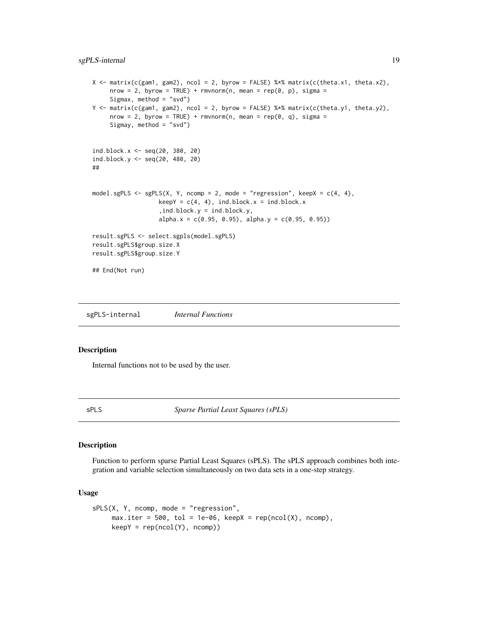## <span id="page-18-0"></span>sgPLS-internal 19

```
X \leq - matrix(c(gam1, gam2), ncol = 2, byrow = FALSE) %*% matrix(c(theta.x1, theta.x2),
     nrow = 2, byrow = TRUE) + rmvnorm(n, mean = rep(0, p), sigma =
     Sigmax, method = "svd")
Y <- matrix(c(gam1, gam2), ncol = 2, byrow = FALSE) %*% matrix(c(theta.y1, theta.y2),
     nrow = 2, byrow = TRUE) + rmvnorm(n, mean = rep(0, q), sigma =
     Sigmay, method = "svd")
ind.block.x < - seq(20, 380, 20)
ind.block.y <- seq(20, 480, 20)
##
model.sgPLS <- sgPLS(X, Y, ncomp = 2, mode = "regression", keepX = c(4, 4),
                   keepY = c(4, 4), ind.block.x = ind.block.x,ind.block.y = ind.block.y,
                   alpha.x = c(0.95, 0.95), alpha.y = c(0.95, 0.95))
result.sgPLS <- select.sgpls(model.sgPLS)
result.sgPLS$group.size.X
result.sgPLS$group.size.Y
## End(Not run)
```
sgPLS-internal *Internal Functions*

#### Description

Internal functions not to be used by the user.

<span id="page-18-1"></span>

sPLS *Sparse Partial Least Squares (sPLS)*

#### Description

Function to perform sparse Partial Least Squares (sPLS). The sPLS approach combines both integration and variable selection simultaneously on two data sets in a one-step strategy.

#### Usage

```
sPLS(X, Y, ncomp, mode = "regression",max.iter = 500, tol = 1e-06, keepX = rep(ncol(X)), ncomp),
     keepY = rep(ncol(Y), ncomp))
```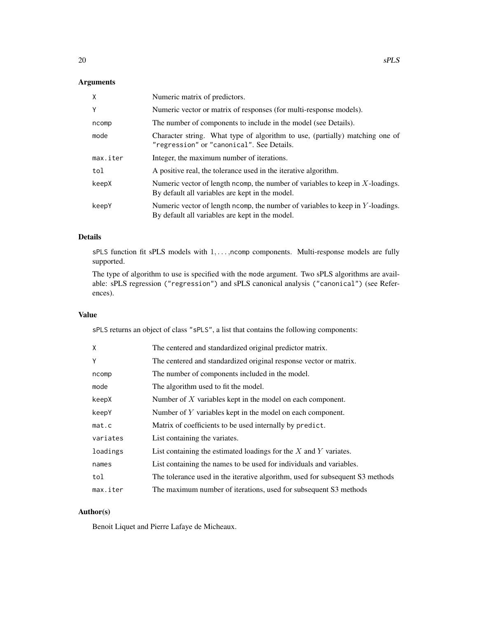## Arguments

| X        | Numeric matrix of predictors.                                                                                                        |
|----------|--------------------------------------------------------------------------------------------------------------------------------------|
| Y        | Numeric vector or matrix of responses (for multi-response models).                                                                   |
| ncomp    | The number of components to include in the model (see Details).                                                                      |
| mode     | Character string. What type of algorithm to use, (partially) matching one of<br>"regression" or "canonical". See Details.            |
| max.iter | Integer, the maximum number of iterations.                                                                                           |
| tol      | A positive real, the tolerance used in the iterative algorithm.                                                                      |
| keepX    | Numeric vector of length ncomp, the number of variables to keep in $X$ -loadings.<br>By default all variables are kept in the model. |
| keepY    | Numeric vector of length ncomp, the number of variables to keep in $Y$ -loadings.<br>By default all variables are kept in the model. |

## Details

sPLS function fit sPLS models with 1, ..., ncomp components. Multi-response models are fully supported.

The type of algorithm to use is specified with the mode argument. Two sPLS algorithms are available: sPLS regression ("regression") and sPLS canonical analysis ("canonical") (see References).

## Value

sPLS returns an object of class "sPLS", a list that contains the following components:

| X        | The centered and standardized original predictor matrix.                      |
|----------|-------------------------------------------------------------------------------|
| Y        | The centered and standardized original response vector or matrix.             |
| ncomp    | The number of components included in the model.                               |
| mode     | The algorithm used to fit the model.                                          |
| keepX    | Number of $X$ variables kept in the model on each component.                  |
| keepY    | Number of $Y$ variables kept in the model on each component.                  |
| mat.c    | Matrix of coefficients to be used internally by predict.                      |
| variates | List containing the variates.                                                 |
| loadings | List containing the estimated loadings for the $X$ and $Y$ variates.          |
| names    | List containing the names to be used for individuals and variables.           |
| tol      | The tolerance used in the iterative algorithm, used for subsequent S3 methods |
| max.iter | The maximum number of iterations, used for subsequent S3 methods              |

## Author(s)

Benoit Liquet and Pierre Lafaye de Micheaux.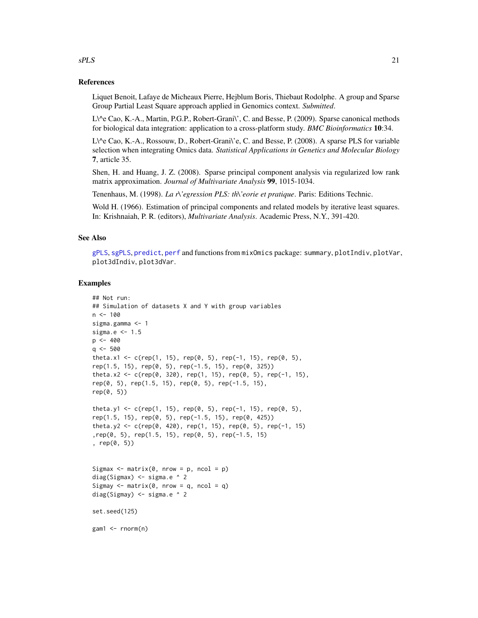#### References

Liquet Benoit, Lafaye de Micheaux Pierre, Hejblum Boris, Thiebaut Rodolphe. A group and Sparse Group Partial Least Square approach applied in Genomics context. *Submitted*.

L\^e Cao, K.-A., Martin, P.G.P., Robert-Grani\', C. and Besse, P. (2009). Sparse canonical methods for biological data integration: application to a cross-platform study. *BMC Bioinformatics* 10:34.

L\^e Cao, K.-A., Rossouw, D., Robert-Grani\'e, C. and Besse, P. (2008). A sparse PLS for variable selection when integrating Omics data. *Statistical Applications in Genetics and Molecular Biology* 7, article 35.

Shen, H. and Huang, J. Z. (2008). Sparse principal component analysis via regularized low rank matrix approximation. *Journal of Multivariate Analysis* 99, 1015-1034.

Tenenhaus, M. (1998). *La r\'egression PLS: th\'eorie et pratique*. Paris: Editions Technic.

Wold H. (1966). Estimation of principal components and related models by iterative least squares. In: Krishnaiah, P. R. (editors), *Multivariate Analysis*. Academic Press, N.Y., 391-420.

## See Also

[gPLS](#page-1-1), [sgPLS](#page-15-1), [predict](#page-10-1), [perf](#page-6-1) and functions from mixOmics package: summary, plotIndiv, plotVar, plot3dIndiv, plot3dVar.

#### Examples

```
## Not run:
## Simulation of datasets X and Y with group variables
n < -100sigma.gamma <- 1
sigma.e <- 1.5
p \le -400q <- 500
theta.x1 <- c(rep(1, 15), rep(0, 5), rep(-1, 15), rep(0, 5),
rep(1.5, 15), rep(0, 5), rep(-1.5, 15), rep(0, 325))
theta.x2 <- c(rep(0, 320), rep(1, 15), rep(0, 5), rep(-1, 15),
rep(0, 5), rep(1.5, 15), rep(0, 5), rep(-1.5, 15),
rep(0, 5))
theta.y1 <- c(rep(1, 15), rep(0, 5), rep(-1, 15), rep(0, 5),
rep(1.5, 15), rep(0, 5), rep(-1.5, 15), rep(0, 425))
theta.y2 <- c(rep(0, 420), rep(1, 15), rep(0, 5), rep(-1, 15)
,rep(0, 5), rep(1.5, 15), rep(0, 5), rep(-1.5, 15)
, rep(0, 5))
Sigmax \leq matrix(0, nrow = p, ncol = p)
diag(Sigmax) <- sigma.e ^ 2
Sigmay \leq matrix(0, nrow = q, ncol = q)
diag(Sigmay) <- sigma.e ^ 2
set.seed(125)
gam1 < -rnorm(n)
```
### <span id="page-20-0"></span> $sPLS$  21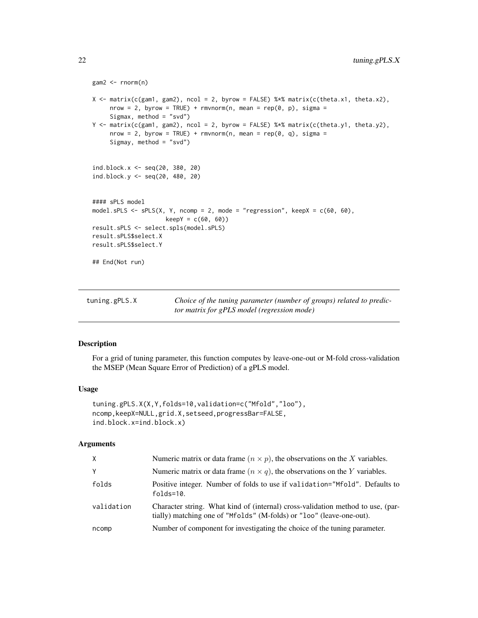```
gamma < - rnorm(n)X \leq - matrix(c(gam1, gam2), ncol = 2, byrow = FALSE) %*% matrix(c(theta.x1, theta.x2),
     nrow = 2, byrow = TRUE) + rmvnorm(n, mean = rep(0, p), sigma =
     Sigmax, method = "svd")
Y <- matrix(c(gam1, gam2), ncol = 2, byrow = FALSE) %*% matrix(c(theta.y1, theta.y2),
     nrow = 2, byrow = TRUE) + rmvnorm(n, mean = rep(0, q), sigma =
     Sigmay, method = "svd")
ind.block.x <- seq(20, 380, 20)
ind.block.y <- seq(20, 480, 20)
#### sPLS model
model.sPLS <- sPLS(X, Y, ncomp = 2, mode = "regression", keepX = c(60, 60),
                     keepY = c(60, 60))result.sPLS <- select.spls(model.sPLS)
result.sPLS$select.X
result.sPLS$select.Y
## End(Not run)
```

| tuning.gPLS.X | Choice of the tuning parameter (number of groups) related to predic- |
|---------------|----------------------------------------------------------------------|
|               | <i>tor matrix for gPLS model (regression mode)</i>                   |

## Description

For a grid of tuning parameter, this function computes by leave-one-out or M-fold cross-validation the MSEP (Mean Square Error of Prediction) of a gPLS model.

#### Usage

```
tuning.gPLS.X(X,Y,folds=10,validation=c("Mfold","loo"),
ncomp,keepX=NULL,grid.X,setseed,progressBar=FALSE,
ind.block.x=ind.block.x)
```
#### Arguments

| X          | Numeric matrix or data frame $(n \times p)$ , the observations on the X variables.                                                                      |
|------------|---------------------------------------------------------------------------------------------------------------------------------------------------------|
| Y          | Numeric matrix or data frame $(n \times q)$ , the observations on the Y variables.                                                                      |
| folds      | Positive integer. Number of folds to use if validation="Mfold". Defaults to<br>folds=10.                                                                |
| validation | Character string. What kind of (internal) cross-validation method to use, (par-<br>tially) matching one of "Mfolds" (M-folds) or "loo" (leave-one-out). |
| ncomp      | Number of component for investigating the choice of the tuning parameter.                                                                               |

<span id="page-21-0"></span>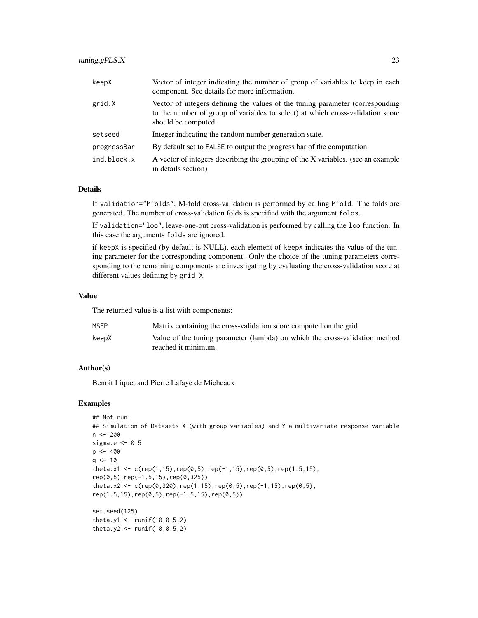## tuning.gPLS.X 23

| keepX       | Vector of integer indicating the number of group of variables to keep in each<br>component. See details for more information.                                                          |
|-------------|----------------------------------------------------------------------------------------------------------------------------------------------------------------------------------------|
| grid.X      | Vector of integers defining the values of the tuning parameter (corresponding<br>to the number of group of variables to select) at which cross-validation score<br>should be computed. |
| setseed     | Integer indicating the random number generation state.                                                                                                                                 |
| progressBar | By default set to FALSE to output the progress bar of the computation.                                                                                                                 |
| ind.block.x | A vector of integers describing the grouping of the X variables. (see an example<br>in details section)                                                                                |

### Details

If validation="Mfolds", M-fold cross-validation is performed by calling Mfold. The folds are generated. The number of cross-validation folds is specified with the argument folds.

If validation="loo", leave-one-out cross-validation is performed by calling the loo function. In this case the arguments folds are ignored.

if keepX is specified (by default is NULL), each element of keepX indicates the value of the tuning parameter for the corresponding component. Only the choice of the tuning parameters corresponding to the remaining components are investigating by evaluating the cross-validation score at different values defining by grid.X.

## Value

The returned value is a list with components:

| <b>MSEP</b> | Matrix containing the cross-validation score computed on the grid.          |
|-------------|-----------------------------------------------------------------------------|
| keepX       | Value of the tuning parameter (lambda) on which the cross-validation method |
|             | reached it minimum.                                                         |

### Author(s)

Benoit Liquet and Pierre Lafaye de Micheaux

```
## Not run:
## Simulation of Datasets X (with group variables) and Y a multivariate response variable
n < -200sigma.e <-0.5p <- 400
q \le -10theta.x1 <- c(rep(1,15),rep(0,5),rep(-1,15),rep(0,5),rep(1.5,15),
rep(0,5),rep(-1.5,15),rep(0,325))
theta.x2 <- c(rep(0,320),rep(1,15),rep(0,5),rep(-1,15),rep(0,5),
rep(1.5,15),rep(0,5),rep(-1.5,15),rep(0,5))
set.seed(125)
theta.y1 <- runif(10, 0.5, 2)theta.y2 <- runif(10, 0.5, 2)
```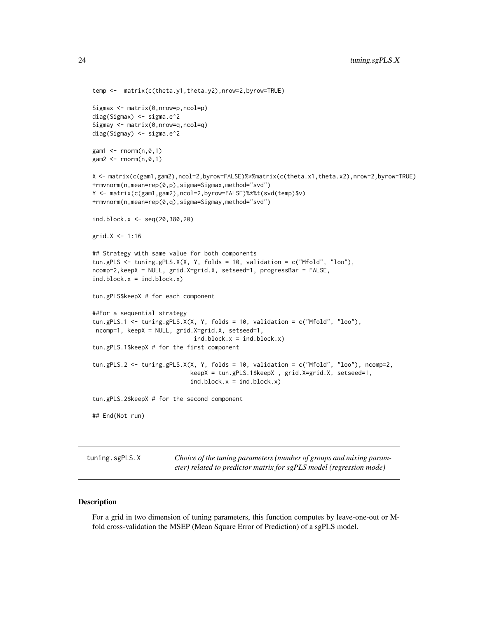```
temp <- matrix(c(theta.y1,theta.y2),nrow=2,byrow=TRUE)
Sigmax <- matrix(0,nrow=p,ncol=p)
diag(Sigmax) <- sigma.e^2
Sigmay <- matrix(0,nrow=q,ncol=q)
diag(Sigmay) <- sigma.e^2
gam1 < -rnorm(n, 0, 1)gam2 < -rnorm(n, 0, 1)X <- matrix(c(gam1,gam2),ncol=2,byrow=FALSE)%*%matrix(c(theta.x1,theta.x2),nrow=2,byrow=TRUE)
+rmvnorm(n,mean=rep(0,p),sigma=Sigmax,method="svd")
Y <- matrix(c(gam1,gam2),ncol=2,byrow=FALSE)%*%t(svd(temp)$v)
+rmvnorm(n,mean=rep(0,q),sigma=Sigmay,method="svd")
ind.block.x <- seq(20,380,20)
grid.X < -1:16## Strategy with same value for both components
tun.gPLS <- tuning.gPLS.X(X, Y, folds = 10, validation = c("Mfold", "loo"),
ncomp=2,keepX = NULL, grid.X=grid.X, setseed=1, progressBar = FALSE,
ind.block.x = ind.block.x)tun.gPLS$keepX # for each component
##For a sequential strategy
tun.gPLS.1 <- tuning.gPLS.X(X, Y, folds = 10, validation = c("Mfold", "loo"),
ncomp=1, keepX = NULL, grid.X=grid.X, setseed=1,
                             ind.block.x = ind.block.x)tun.gPLS.1$keepX # for the first component
tun.gPLS.2 <- tuning.gPLS.X(X, Y, folds = 10, validation = c("Mfold", "loo"), ncomp=2,
                            keepX = tun.gPLS.1$keepX , grid.X=grid.X, setseed=1,
                            ind.block.x = ind.block.x)
tun.gPLS.2$keepX # for the second component
## End(Not run)
```
tuning.sgPLS.X *Choice of the tuning parameters (number of groups and mixing parameter) related to predictor matrix for sgPLS model (regression mode)*

#### Description

For a grid in two dimension of tuning parameters, this function computes by leave-one-out or Mfold cross-validation the MSEP (Mean Square Error of Prediction) of a sgPLS model.

<span id="page-23-0"></span>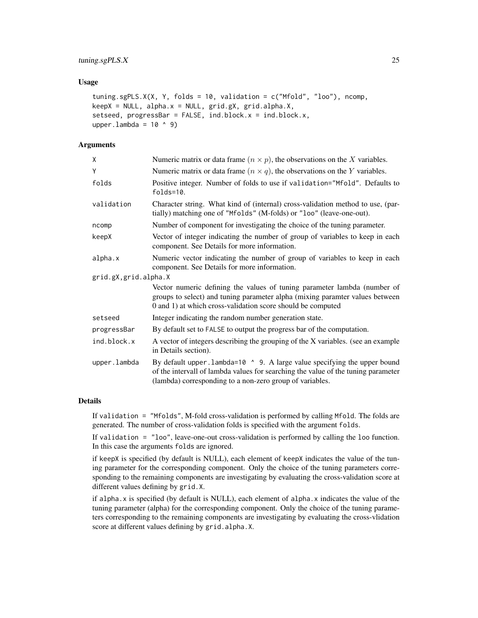## tuning.sgPLS.X 25

#### Usage

```
tuning.sgPLS.X(X, Y, folds = 10, validation = c("Mfold", "loo"), ncomp,
keepX = NULL, alpha.x = NULL, grid.gX, grid.alpha.X,setseed, progressBar = FALSE, ind.block.x = ind.block.x,
upper.lambda = 10 \land 9)
```
## Arguments

| X                     | Numeric matrix or data frame $(n \times p)$ , the observations on the X variables.                                                                                                                                         |
|-----------------------|----------------------------------------------------------------------------------------------------------------------------------------------------------------------------------------------------------------------------|
| Υ                     | Numeric matrix or data frame $(n \times q)$ , the observations on the Y variables.                                                                                                                                         |
| folds                 | Positive integer. Number of folds to use if validation="Mfold". Defaults to<br>$folds = 10$ .                                                                                                                              |
| validation            | Character string. What kind of (internal) cross-validation method to use, (par-<br>tially) matching one of "Mfolds" (M-folds) or "loo" (leave-one-out).                                                                    |
| ncomp                 | Number of component for investigating the choice of the tuning parameter.                                                                                                                                                  |
| keepX                 | Vector of integer indicating the number of group of variables to keep in each<br>component. See Details for more information.                                                                                              |
| alpha.x               | Numeric vector indicating the number of group of variables to keep in each<br>component. See Details for more information.                                                                                                 |
| grid.gX, grid.alpha.X |                                                                                                                                                                                                                            |
|                       | Vector numeric defining the values of tuning parameter lambda (number of<br>groups to select) and tuning parameter alpha (mixing paramter values between<br>0 and 1) at which cross-validation score should be computed    |
| setseed               | Integer indicating the random number generation state.                                                                                                                                                                     |
| progressBar           | By default set to FALSE to output the progress bar of the computation.                                                                                                                                                     |
| ind.block.x           | A vector of integers describing the grouping of the X variables. (see an example<br>in Details section).                                                                                                                   |
| upper.lambda          | By default upper. lambda=10 ^ 9. A large value specifying the upper bound<br>of the intervall of lambda values for searching the value of the tuning parameter<br>(lambda) corresponding to a non-zero group of variables. |
|                       |                                                                                                                                                                                                                            |

## Details

If validation = "Mfolds", M-fold cross-validation is performed by calling Mfold. The folds are generated. The number of cross-validation folds is specified with the argument folds.

If validation = "loo", leave-one-out cross-validation is performed by calling the loo function. In this case the arguments folds are ignored.

if keepX is specified (by default is NULL), each element of keepX indicates the value of the tuning parameter for the corresponding component. Only the choice of the tuning parameters corresponding to the remaining components are investigating by evaluating the cross-validation score at different values defining by grid.X.

if alpha.x is specified (by default is NULL), each element of alpha.x indicates the value of the tuning parameter (alpha) for the corresponding component. Only the choice of the tuning parameters corresponding to the remaining components are investigating by evaluating the cross-vlidation score at different values defining by grid.alpha.X.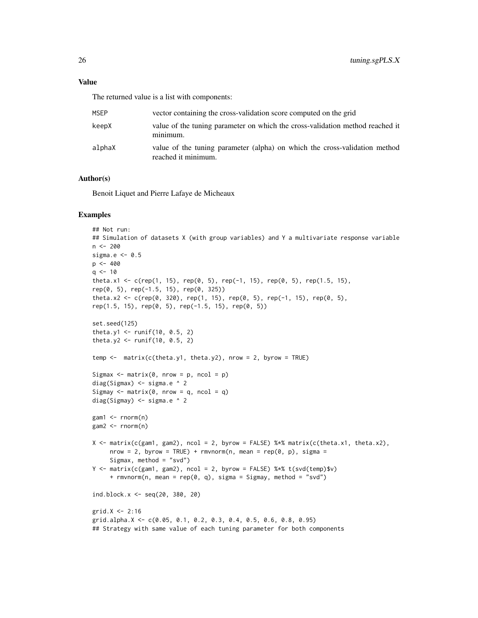The returned value is a list with components:

| <b>MSFP</b> | vector containing the cross-validation score computed on the grid                                 |
|-------------|---------------------------------------------------------------------------------------------------|
| keepX       | value of the tuning parameter on which the cross-validation method reached it<br>minimum.         |
| alphaX      | value of the tuning parameter (alpha) on which the cross-validation method<br>reached it minimum. |

#### Author(s)

Benoit Liquet and Pierre Lafaye de Micheaux

```
## Not run:
## Simulation of datasets X (with group variables) and Y a multivariate response variable
n <- 200
sigma.e <-0.5p \le -400q \le -10theta.x1 <- c(rep(1, 15), rep(0, 5), rep(-1, 15), rep(0, 5), rep(1.5, 15),
rep(0, 5), rep(-1.5, 15), rep(0, 325))
theta.x2 <- c(rep(0, 320), rep(1, 15), rep(0, 5), rep(-1, 15), rep(0, 5),
rep(1.5, 15), rep(0, 5), rep(-1.5, 15), rep(0, 5))
set.seed(125)
theta.y1 <- runif(10, 0.5, 2)theta.y2 <- runif(10, 0.5, 2)
temp \leq matrix(c(theta.y1, theta.y2), nrow = 2, byrow = TRUE)
Sigmax \leq matrix(0, nrow = p, ncol = p)
diag(Sigmax) <- sigma.e ^ 2
Sigmay \leq matrix(0, nrow = q, ncol = q)
diag(Sigmay) <- sigma.e ^ 2
gam1 < -rnorm(n)gam2 < -rnorm(n)X \le matrix(c(gam1, gam2), ncol = 2, byrow = FALSE) %*% matrix(c(theta.x1, theta.x2),
     nrow = 2, byrow = TRUE) + rmvnorm(n, mean = rep(0, p), sigma =
     Sigmax, method = "svd")
Y \leq - matrix(c(gam1, gam2), ncol = 2, byrow = FALSE) %*% t(svd(temp)$v)
     + rmvnorm(n, mean = rep(0, q), sigma = Sigmay, method = "svd")
ind.block.x <- seq(20, 380, 20)
grid.X < -2:16grid.alpha.X <- c(0.05, 0.1, 0.2, 0.3, 0.4, 0.5, 0.6, 0.8, 0.95)
## Strategy with same value of each tuning parameter for both components
```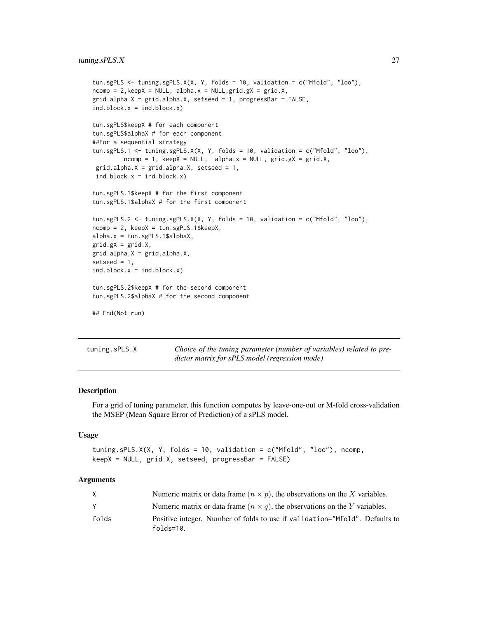```
tun.sgPLS <- tuning.sgPLS.X(X, Y, folds = 10, validation = c("Mfold", "loo"),
ncomp = 2, keepX = NULL, alpha.x = NULL, grid.gX = grid.X,grid.alpha.X = grid.alpha.X, setseed = 1, progressBar = FALSE,
ind.block.x = ind.block.x)tun.sgPLS$keepX # for each component
tun.sgPLS$alphaX # for each component
##For a sequential strategy
tun.sgPLS.1 <- tuning.sgPLS.X(X, Y, folds = 10, validation = c("Mfold", "loo"),
         ncomp = 1, keepX = NULL, alpha.x = NULL, grid.gX = grid.X,
 grid.alpha.X = grid.alpha.X, setseed = 1,
ind.block.x = ind.block.x)
tun.sgPLS.1$keepX # for the first component
tun.sgPLS.1$alphaX # for the first component
tun.sgPLS.2 <- tuning.sgPLS.X(X, Y, folds = 10, validation = c("Mfold", "loo"),
ncomp = 2, keepX = tun.sgPLS.1$keepX,
alpha.x = tun.sgPLS.1$alphaX,
grid.gX = grid.X,grid.alpha.X = grid.alpha.X,
setseed = 1,
ind.block.x = ind.block.x)
tun.sgPLS.2$keepX # for the second component
tun.sgPLS.2$alphaX # for the second component
## End(Not run)
```
tuning.sPLS.X *Choice of the tuning parameter (number of variables) related to predictor matrix for sPLS model (regression mode)*

#### Description

For a grid of tuning parameter, this function computes by leave-one-out or M-fold cross-validation the MSEP (Mean Square Error of Prediction) of a sPLS model.

#### Usage

```
tuning.sPLS.X(X, Y, folds = 10, validation = c("Mfold", "loo"), ncomp,
keepX = NULL, grid.X, setseed, progressBar = FALSE)
```
#### Arguments

|       | Numeric matrix or data frame $(n \times p)$ , the observations on the X variables.             |
|-------|------------------------------------------------------------------------------------------------|
|       | Numeric matrix or data frame $(n \times q)$ , the observations on the Y variables.             |
| folds | Positive integer. Number of folds to use if validation="Mfold". Defaults to<br>$follows = 10.$ |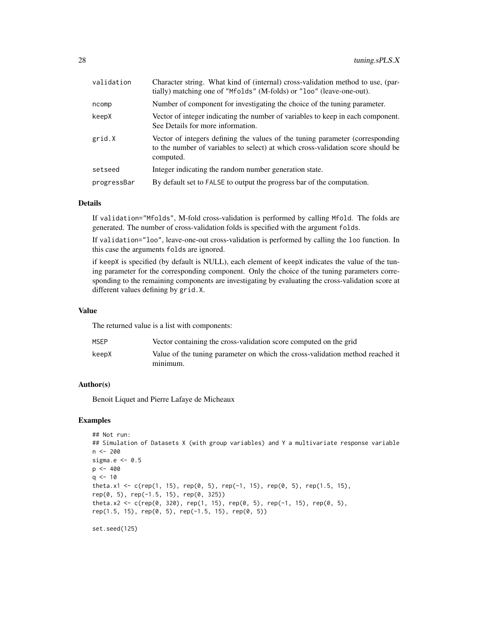| validation  | Character string. What kind of (internal) cross-validation method to use, (par-<br>tially) matching one of "Mfolds" (M-folds) or "loo" (leave-one-out).                       |
|-------------|-------------------------------------------------------------------------------------------------------------------------------------------------------------------------------|
| ncomp       | Number of component for investigating the choice of the tuning parameter.                                                                                                     |
| keepX       | Vector of integer indicating the number of variables to keep in each component.<br>See Details for more information.                                                          |
| grid.X      | Vector of integers defining the values of the tuning parameter (corresponding<br>to the number of variables to select) at which cross-validation score should be<br>computed. |
| setseed     | Integer indicating the random number generation state.                                                                                                                        |
| progressBar | By default set to FALSE to output the progress bar of the computation.                                                                                                        |

### Details

If validation="Mfolds", M-fold cross-validation is performed by calling Mfold. The folds are generated. The number of cross-validation folds is specified with the argument folds.

If validation="loo", leave-one-out cross-validation is performed by calling the loo function. In this case the arguments folds are ignored.

if keepX is specified (by default is NULL), each element of keepX indicates the value of the tuning parameter for the corresponding component. Only the choice of the tuning parameters corresponding to the remaining components are investigating by evaluating the cross-validation score at different values defining by grid.X.

#### Value

The returned value is a list with components:

| MSEP  | Vector containing the cross-validation score computed on the grid             |
|-------|-------------------------------------------------------------------------------|
| keepX | Value of the tuning parameter on which the cross-validation method reached it |
|       | minimum.                                                                      |

#### Author(s)

Benoit Liquet and Pierre Lafaye de Micheaux

## Examples

```
## Not run:
## Simulation of Datasets X (with group variables) and Y a multivariate response variable
n < -200sigma.e <- 0.5
p \le -400q \le -10theta.x1 <- c(rep(1, 15), rep(0, 5), rep(-1, 15), rep(0, 5), rep(1.5, 15),
rep(0, 5), rep(-1.5, 15), rep(0, 325))
theta.x2 <- c(rep(0, 320), rep(1, 15), rep(0, 5), rep(-1, 15), rep(0, 5),
rep(1.5, 15), rep(0, 5), rep(-1.5, 15), rep(0, 5))
```
set.seed(125)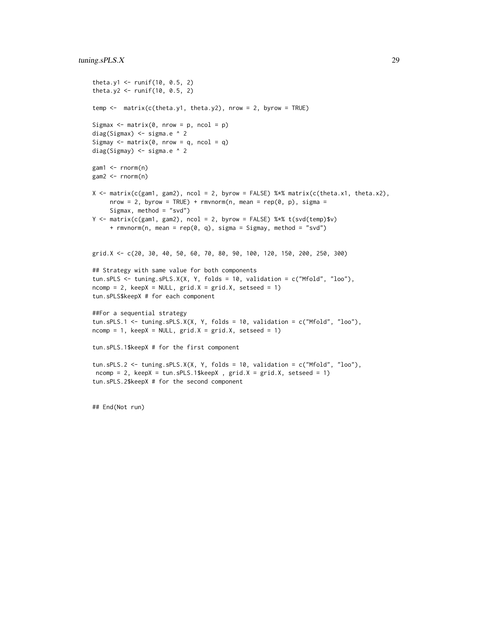## tuning.sPLS.X 29

```
theta.y1 <- runif(10, 0.5, 2)theta.y2 <- runif(10, 0.5, 2)temp \leq matrix(c(theta.y1, theta.y2), nrow = 2, byrow = TRUE)
Sigmax \leq matrix(0, nrow = p, ncol = p)
diag(Sigmax) <- sigma.e ^ 2
Sigmay \leq matrix(0, nrow = q, ncol = q)
diag(Sigmay) <- sigma.e ^ 2
gam1 <- rnorm(n)
gam2 < - rnorm(n)X \le matrix(c(gam1, gam2), ncol = 2, byrow = FALSE) %*% matrix(c(theta.x1, theta.x2),
     nrow = 2, byrow = TRUE) + rmvnorm(n, mean = rep(0, p), sigma =
     Sigmax, method = "svd")
Y <- matrix(c(gam1, gam2), ncol = 2, byrow = FALSE) %*% t(svd(temp)$v)
     + rmvnorm(n, mean = rep(0, q), sigma = Sigmay, method = "svd")
grid.X <- c(20, 30, 40, 50, 60, 70, 80, 90, 100, 120, 150, 200, 250, 300)
## Strategy with same value for both components
tun.sPLS <- tuning.sPLS.X(X, Y, folds = 10, validation = c("Mfold", "loo"),
ncomp = 2, keepX = NULL, grid.X = grid.X, setseed = 1)tun.sPLS$keepX # for each component
##For a sequential strategy
tun.sPLS.1 <- tuning.sPLS.X(X, Y, folds = 10, validation = c("Mfold", "loo"),
ncomp = 1, keepX = NULL, grid.X = grid.X, setseed = 1)tun.sPLS.1$keepX # for the first component
tun.sPLS.2 <- tuning.sPLS.X(X, Y, folds = 10, validation = c("Mfold", "loo"),
ncomp = 2, keepX = tun.SPLS.1$keepX , grid.X = grid.X, setsed = 1)tun.sPLS.2$keepX # for the second component
```
## End(Not run)